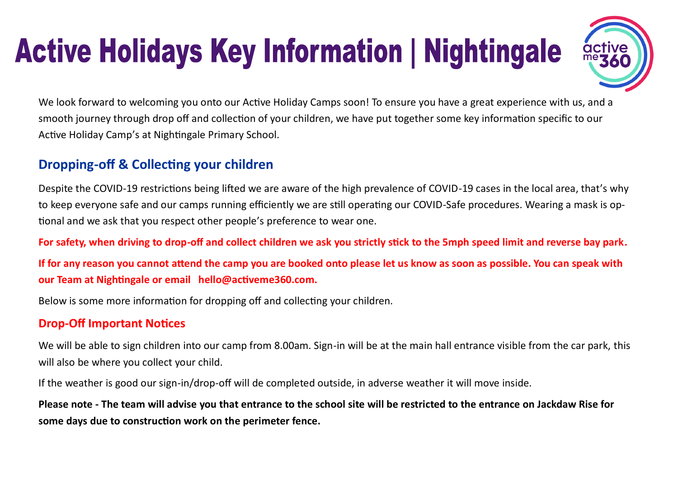# **Active Holidays Key Information | Nightingale**

We look forward to welcoming you onto our Active Holiday Camps soon! To ensure you have a great experience with us, and a smooth journey through drop off and collection of your children, we have put together some key information specific to our Active Holiday Camp's at Nightingale Primary School.

## **Dropping-off & Collecting your children**

Despite the COVID-19 restrictions being lifted we are aware of the high prevalence of COVID-19 cases in the local area, that's why to keep everyone safe and our camps running efficiently we are still operating our COVID-Safe procedures. Wearing a mask is optional and we ask that you respect other people's preference to wear one.

**For safety, when driving to drop-off and collect children we ask you strictly stick to the 5mph speed limit and reverse bay park.**

**If for any reason you cannot attend the camp you are booked onto please let us know as soon as possible. You can speak with our Team at Nightingale or email hello@activeme360.com.**

Below is some more information for dropping off and collecting your children.

#### **Drop-Off Important Notices**

We will be able to sign children into our camp from 8.00am. Sign-in will be at the main hall entrance visible from the car park, this will also be where you collect your child.

If the weather is good our sign-in/drop-off will de completed outside, in adverse weather it will move inside.

**Please note - The team will advise you that entrance to the school site will be restricted to the entrance on Jackdaw Rise for some days due to construction work on the perimeter fence.**